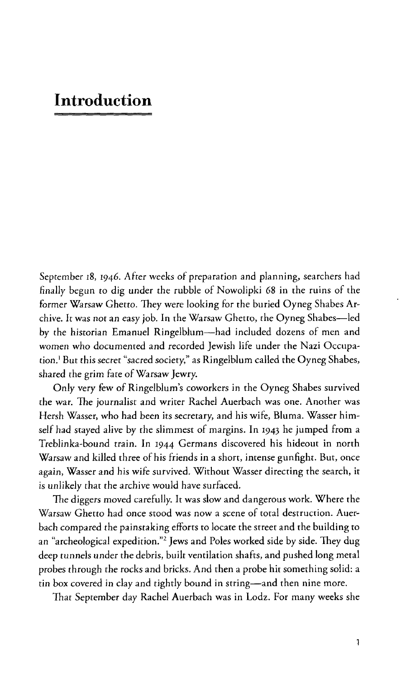# **Introduction**

September 18, 1946. After weeks of preparation and planning, searchers had finally begun to dig under the rubble of Nowolipki 68 in the ruins of the former Warsaw Ghetto. They were looking for the buried Oyneg Shabes Archive. It was not an easy job. In the Warsaw Ghetto, the Oyneg Shabes— led by the historian Emanuel Ringelblum—had included dozens of men and women who documented and recorded Jewish life under the Nazi Occupation.<sup>1</sup> But this secret "sacred society," as Ringelblum called the Oyneg Shabes, shared the grim fate of Warsaw Jewry.

Only very few of Ringelblum's coworkers in the Oyneg Shabes survived the war. The journalist and writer Rachel Auerbach was one. Another was Hersh Wasser, who had been its secretary, and his wife, Bluma. Wasser himself had stayed alive by the slimmest of margins. In 1943 he jumped from a Treblinka-bound train. In 1944 Germans discovered his hideout in north Warsaw and killed three of his friends in a short, intense gunfight. But, once again, Wasser and his wife survived. Without Wasser directing the search, it is unlikely that the archive would have surfaced.

The diggers moved carefully. It was slow and dangerous work. Where the Warsaw Ghetto had once stood was now a scene of total destruction. Auerbach compared the painstaking efforts to locate the street and the building to an "archeological expedition."2 Jews and Poles worked side by side. They dug deep tunnels under the debris, built ventilation shafts, and pushed long metal probes through the rocks and bricks. And then a probe hit something solid: a tin box covered in clay and tightly bound in string— and then nine more.

That September day Rachel Auerbach was in Lodz. For many weeks she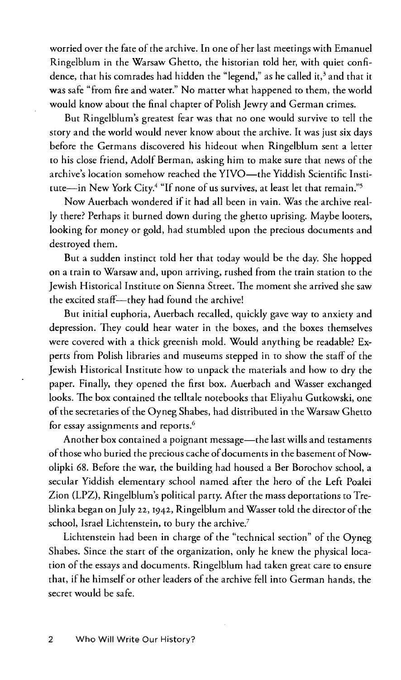worried over the fate of the archive. In one of her last meetings with Emanuel Ringelblum in the Warsaw Ghetto, the historian told her, with quiet confidence, that his comrades had hidden the "legend," as he called it,<sup>3</sup> and that it was safe "from fire and water." No matter what happened to them, the world would know about the final chapter of Polish Jewry and German crimes.

But Ringelblum's greatest fear was that no one would survive to tell the story and the world would never know about the archive. It was just six days before the Germans discovered his hideout when Ringelblum sent a letter to his close friend, Adolf Berman, asking him to make sure that news of the archive's location somehow reached the YIVO-the Yiddish Scientific Institute—in New York City.<sup>4</sup> "If none of us survives, at least let that remain."<sup>5</sup>

Now Auerbach wondered if it had all been in vain. Was the archive really there? Perhaps it burned down during the ghetto uprising. Maybe looters, looking for money or gold, had stumbled upon the precious documents and destroyed them.

But a sudden instinct told her that today would be the day. She hopped on a train to Warsaw and, upon arriving, rushed from the train station to the Jewish Historical Institute on Sienna Street. The moment she arrived she saw the excited staff— they had found the archive!

But initial euphoria, Auerbach recalled, quickly gave way to anxiety and depression. They could hear water in the boxes, and the boxes themselves were covered with a thick greenish mold. Would anything be readable? Experts from Polish libraries and museums stepped in to show the staff of the Jewish Historical Institute how to unpack the materials and how to dry the paper. Finally, they opened the first box. Auerbach and Wasser exchanged looks. The box contained the telltale notebooks that Eliyahu Gutkowski, one of the secretaries of the Oyneg Shabes, had distributed in the Warsaw Ghetto for essay assignments and reports.<sup>6</sup>

Another box contained a poignant message— the last wills and testaments of those who buried the precious cache of documents in the basement of Nowolipki 68. Before the war, the building had housed a Ber Borochov school, a secular Yiddish elementary school named after the hero of the Left Poalei Zion (LPZ), Ringelblum's political party. After the mass deportations to Treblinka began on July 22, 1942, Ringelblum and Wasser told the director of the school, Israel Lichtenstein, to bury the archive.<sup>7</sup>

Lichtenstein had been in charge of the "technical section" of the Oyneg Shabes. Since the start of the organization, only he knew the physical location of the essays and documents. Ringelblum had taken great care to ensure that, if he himself or other leaders of the archive fell into German hands, the secret would be safe.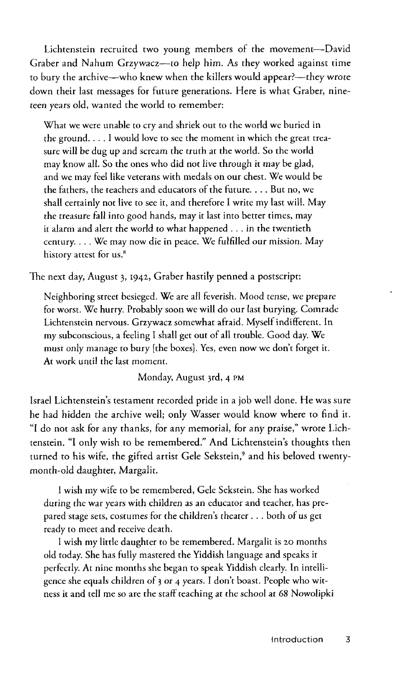Lichtenstein recruited two young members of the movement— David Graber and Nahum Grzywacz— to help him. As they worked against time to bury the archive— who knew when the killers would appear?— they wrote down their last messages for future generations. Here is what Graber, nineteen years old, wanted the world to remember:

What we were unable to cry and shriek out to the world we buried in the ground. . . . I would love to see the moment in which the great treasure will be dug up and scream the truth at the world. So the world may know all. So the ones who did not live through it may be glad, and we may feel like veterans with medals on our chest. We would be the fathers, the teachers and educators of the future. . . . But no, we shall certainly not live to see it, and therefore I write my last will. May the treasure fall into good hands, may it last into better times, may it alarm and alert the world to what happened . . . in the twentieth century. . . . We may now die in peace. We fulfilled our mission. May history attest for us.<sup>8</sup>

The next day, August 3,1942, Graber hastily penned a postscript:

Neighboring street besieged. We are all feverish. Mood tense, we prepare for worst. We hurry. Probably soon we will do our last burying. Comrade Lichtenstein nervous. Grzywacz somewhat afraid. Myself indifferent. In my subconscious, a feeling I shall get out of all trouble. Good day. We must only manage to bury [the boxes]. Yes, even now we don't forget it. At work until the last moment.

Monday, August 3rd, 4 PM

Israel Lichtenstein's testament recorded pride in a job well done. He was sure he had hidden the archive well; only Wasser would know where to find it. "I do not ask for any thanks, for any memorial, for any praise," wrote Lichtenstein. "I only wish to be remembered." And Lichtenstein's thoughts then turned to his wife, the gifted artist Gele Sekstein,<sup>9</sup> and his beloved twentymonth-old daughter, Margalit.

I wish my wife to be remembered, Gele Sekstein. She has worked during the war years with children as an educator and teacher, has prepared stage sets, costumes for the children's theater . . . both of us get ready to meet and receive death.

I wish my little daughter to be remembered. Margalit is 20 months old today. She has fully mastered the Yiddish language and speaks it perfectly. At nine months she began to speak Yiddish clearly. In intelligence she equals children of 3 or 4 years. I don't boast. People who witness it and tell me so are the staff teaching at the school at 68 Nowolipki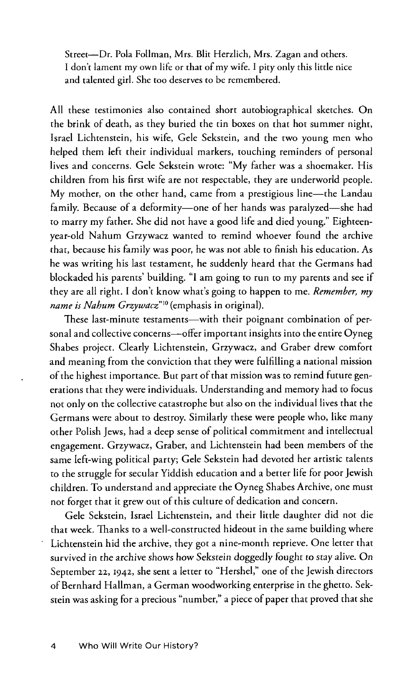Street— Dr. Pola Follman, Mrs. Blit Herzlich, Mrs. Zagan and others. I don't lament my own life or that of my wife. I pity only this little nice and talented girl. She too deserves to be remembered.

All these testimonies also contained short autobiographical sketches. On the brink of death, as they buried the tin boxes on that hot summer night, Israel Lichtenstein, his wife, Gele Sekstein, and the two young men who helped them left their individual markers, touching reminders of personal lives and concerns. Gele Sekstein wrote: "My father was a shoemaker. His children from his first wife are not respectable, they are underworld people. My mother, on the other hand, came from a prestigious line—the Landau family. Because of a deformity-one of her hands was paralyzed-she had to marry my father. She did not have a good life and died young." Eighteenyear-old Nahum Grzywacz wanted to remind whoever found the archive that, because his family was poor, he was not able to finish his education. As he was writing his last testament, he suddenly heard that the Germans had blockaded his parents' building. "I am going to run to my parents and see if they are all right. I don't know what's going to happen to me. *Remember, my name is Nahum Grzywacz*"<sup>10</sup> (emphasis in original).

These last-minute testaments—with their poignant combination of personal and collective concerns— offer important insights into the entire Oyneg Shabes project. Clearly Lichtenstein, Grzywacz, and Graber drew comfort and meaning from the conviction that they were fulfilling a national mission of the highest importance. But part of that mission was to remind future generations that they were individuals. Understanding and memory had to focus not only on the collective catastrophe but also on the individual lives that the Germans were about to destroy. Similarly these were people who, like many other Polish Jews, had a deep sense of political commitment and intellectual engagement. Grzywacz, Graber, and Lichtenstein had been members of the same left-wing political party; Gele Sekstein had devoted her artistic talents to the struggle for secular Yiddish education and a better life for poor Jewish children. To understand and appreciate the Oyneg Shabes Archive, one must not forget that it grew out of this culture of dedication and concern.

Gele Sekstein, Israel Lichtenstein, and their little daughter did not die that week. Thanks to a well-constructed hideout in the same building where Lichtenstein hid the archive, they got a nine-month reprieve. One letter that survived in the archive shows how Sekstein doggedly fought to stay alive. On September 22, 1942, she sent a letter to "Hershel," one of the Jewish directors of Bernhard Hallman, a German woodworking enterprise in the ghetto. Sekstein was asking for a precious "number," a piece of paper that proved that she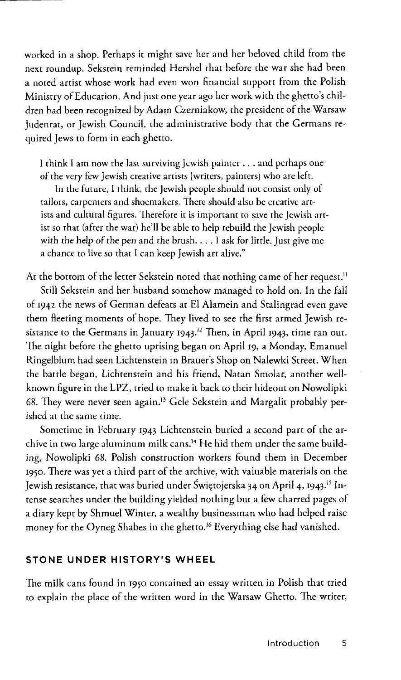worked in a shop. Perhaps it might save her and her beloved child from the next roundup. Sekstein reminded Hershel that before the war she had been a noted artist whose work had even won financial support from the Polish Ministry of Education. And just one year ago her work with the ghetto's children had been recognized by Adam Czerniakow, the president of the Warsaw Judenrat, or Jewish Council, the administrative body that the Germans required Jews to form in each ghetto.

1 think I am now the last surviving Jewish painter . . . and perhaps one of the very few Jewish creative artists [writers, painters] who are left.

In the future, I think, the Jewish people should not consist only of tailors, carpenters and shoemakers. There should also be creative artists and cultural figures. Therefore it is important to save the Jewish artist so that (after the war) he'll be able to help rebuild the Jewish people with the help of the pen and the brush. . . . I ask for little. Just give me a chance to live so that I can keep Jewish art alive."

At the bottom of the letter Sekstein noted that nothing came of her request.<sup>11</sup>

Still Sekstein and her husband somehow managed to hold on. In the fall of 1942 the news of German defeats at El Alamein and Stalingrad even gave them fleeting moments of hope. They lived to see the first armed Jewish resistance to the Germans in January 1943.<sup>12</sup> Then, in April 1943, time ran out. The night before the ghetto uprising began on April 19, a Monday, Emanuel Ringelblum had seen Lichtenstein in Brauer's Shop on Nalewki Street. When the battle began, Lichtenstein and his friend, Natan Smolar, another wellknown figure in the LPZ, tried to make it back to their hideout on Nowolipki 68. They were never seen again.13 Gele Sekstein and Margalit probably perished at the same time.

Sometime in February 1943 Lichtenstein buried a second part of the archive in two large aluminum milk cans.14 He hid them under the same building, Nowolipki 68. Polish construction workers found them in December 1950. There was yet a third part of the archive, with valuable materials on the Jewish resistance, that was buried under Świętojerska 34 on April 4, 1943.<sup>15</sup> Intense searches under the building yielded nothing but a few charred pages of a diary kept by Shmuel Winter, a wealthy businessman who had helped raise money for the Oyneg Shabes in the ghetto.<sup>16</sup> Everything else had vanished.

# **STONE UNDER HISTORY'S WHEEL**

The milk cans found in 1950 contained an essay written in Polish that tried to explain the place of the written word in the Warsaw Ghetto. The writer,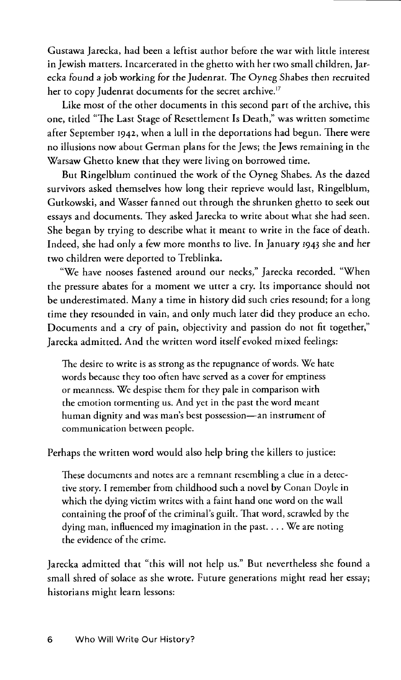Gustawa Jarecka, had been a leftist author before the war with little interest in Jewish matters. Incarcerated in the ghetto with her two small children, Jarecka found a job working for the Judenrat. The Oyneg Shabes then recruited her to copy Judenrat documents for the secret archive.<sup>17</sup>

Like most of the other documents in this second part of the archive, this one, titled "The Last Stage of Resettlement Is Death," was written sometime after September 1942, when a lull in the deportations had begun. There were no illusions now about German plans for the Jews; the Jews remaining in the Warsaw Ghetto knew that they were living on borrowed time.

But Ringelblum continued the work of the Oyneg Shabes. As the dazed survivors asked themselves how long their reprieve would last, Ringelblum, Gutkowski, and Wasser fanned out through the shrunken ghetto to seek out essays and documents. They asked Jarecka to write about what she had seen. She began by trying to describe what it meant to write in the face of death. Indeed, she had only a few more months to live. In January 1943 she and her two children were deported to Treblinka.

"We have nooses fastened around our necks," Jarecka recorded. "When the pressure abates for a moment we utter a cry. Its importance should not be underestimated. Many a time in history did such cries resound; for a long time they resounded in vain, and only much later did they produce an echo. Documents and a cry of pain, objectivity and passion do not fit together," Jarecka admitted. And the written word itself evoked mixed feelings:

The desire to write is as strong as the repugnance of words. We hate words because they too often have served as a cover for emptiness or meanness. We despise them for they pale in comparison with the emotion tormenting us. And yet in the past the word meant human dignity and was man's best possession— an instrument of communication between people.

Perhaps the written word would also help bring the killers to justice:

These documents and notes are a remnant resembling a clue in a detective story. I remember from childhood such a novel by Conan Doyle in which the dying victim writes with a faint hand one word on the wall containing the proof of the criminal's guilt. That word, scrawled by the dying man, influenced my imagination in the past. . . . We are noting the evidence of the crime.

Jarecka admitted that "this will not help us." But nevertheless she found a small shred of solace as she wrote. Future generations might read her essay; historians might learn lessons: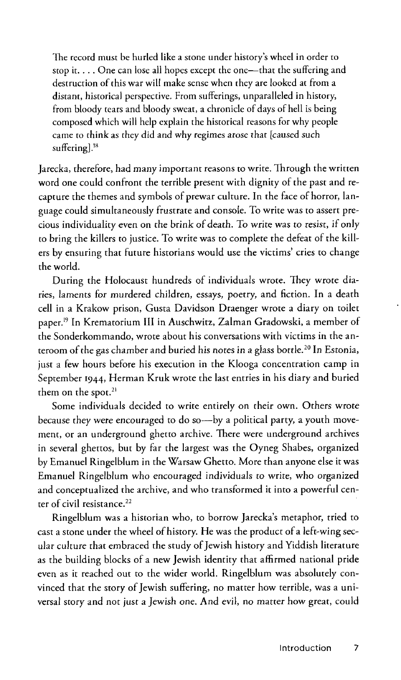The record must be hurled like a stone under history's wheel in order to stop it. . . . One can lose all hopes except the one— that the suffering and destruction of this war will make sense when they are looked at from a distant, historical perspective. From sufferings, unparalleled in history, from bloody tears and bloody sweat, a chronicle of days of hell is being composed which will help explain the historical reasons for why people came to think as they did and why regimes arose that [caused such suffering].<sup>18</sup>

Jarecka, therefore, had many important reasons to write. Through the written word one could confront the terrible present with dignity of the past and recapture the themes and symbols of prewar culture. In the face of horror, language could simultaneously frustrate and console. To write was to assert precious individuality even on the brink of death. To write was to resist, if only to bring the killers to justice. To write was to complete the defeat of the killers by ensuring that future historians would use the victims' cries to change the world.

During the Holocaust hundreds of individuals wrote. They wrote diaries, laments for murdered children, essays, poetry, and fiction. In a death cell in a Krakow prison, Gusta Davidson Draenger wrote a diary on toilet paper.<sup>19</sup> In Krematorium III in Auschwitz, Zalman Gradowski, a member of the Sonderkommando, wrote about his conversations with victims in the anteroom of the gas chamber and buried his notes in a glass bottle.<sup>20</sup> In Estonia, just a few hours before his execution in the Klooga concentration camp in September 1944, Herman Kruk wrote the last entries in his diary and buried them on the spot.<sup>21</sup>

Some individuals decided to write entirely on their own. Others wrote because they were encouraged to do so— by a political party, a youth movement, or an underground ghetto archive. There were underground archives in several ghettos, but by far the largest was the Oyneg Shabes, organized by Emanuel Ringelblum in the Warsaw Ghetto. More than anyone else it was Emanuel Ringelblum who encouraged individuals to write, who organized and conceptualized the archive, and who transformed it into a powerful center of civil resistance.<sup>22</sup>

Ringelblum was a historian who, to borrow Jarecka's metaphor, tried to cast a stone under the wheel of history. He was the product of a left-wing secular culture that embraced the study of Jewish history and Yiddish literature as the building blocks of a new Jewish identity that affirmed national pride even as it reached out to the wider world. Ringelblum was absolutely convinced that the story of Jewish suffering, no matter how terrible, was a universal story and not just a Jewish one. And evil, no matter how great, could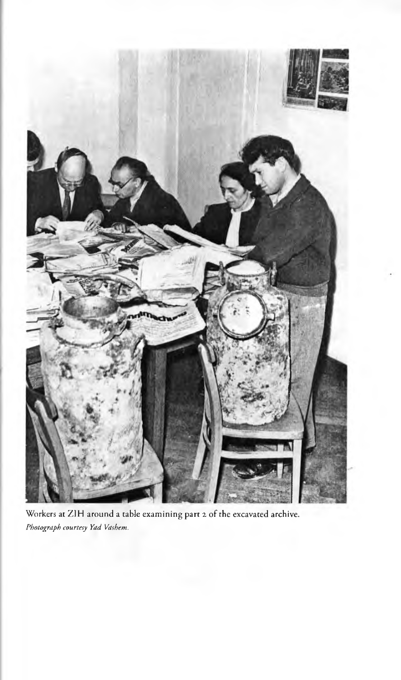

Workers at ZIH around a table examining part 2 of the excavated archive. *Photograph courtesy Yad Vashem.*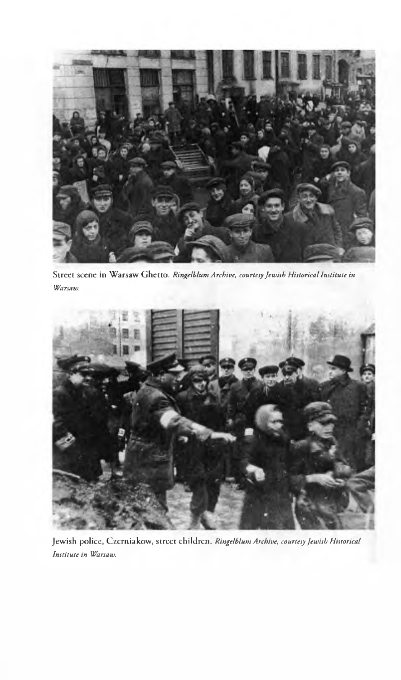

Street scene in Warsaw Ghetto. *Ringelblum Archive, courtesy Jewish Historical Institute in Warsaw.*



Jewish police, Czerniakow, street children. *Ringelblum Archive, courtesy Jewish Historical Institute in Warsaw.*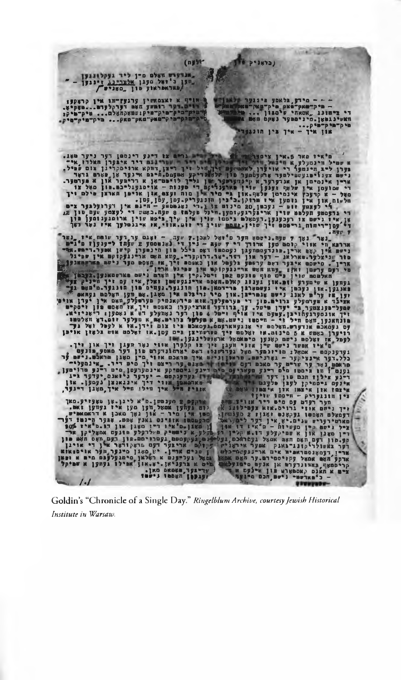|                                                                                                                                                                                                                                     | (uh), | The possess)                                                                                               |                                                          |
|-------------------------------------------------------------------------------------------------------------------------------------------------------------------------------------------------------------------------------------|-------|------------------------------------------------------------------------------------------------------------|----------------------------------------------------------|
|                                                                                                                                                                                                                                     |       |                                                                                                            |                                                          |
| אורערש האלם מין ליד בעקלונגען                                                                                                                                                                                                       |       |                                                                                                            |                                                          |
| laras Thurs tran pas, I las"                                                                                                                                                                                                        |       |                                                                                                            |                                                          |
| <b>FUSIC IIS SIKISKIKS</b>                                                                                                                                                                                                          |       |                                                                                                            |                                                          |
|                                                                                                                                                                                                                                     |       |                                                                                                            |                                                          |
| thbsub i.w in-Latin l.asoxxi x dain                                                                                                                                                                                                 |       | . - тразва роков ртво - - -<br>Мринсоне-рин-рва рин-рин-рва -<br>Денинска  1180-е чикок, 1310-х            |                                                          |
| 8 דוים.דער רומדע מאם דערקלעדםאוואיא                                                                                                                                                                                                 |       |                                                                                                            |                                                          |
| שהמאקים קים יקים יון: שמאקחאלם מיק־מיק:                                                                                                                                                                                             |       |                                                                                                            |                                                          |
| לא אית המותחות היום אל - - PKD - - מיקים אל - -                                                                                                                                                                                     |       |                                                                                                            | <b>Ma men bpus tymb+s p.jenis wan</b>                    |
|                                                                                                                                                                                                                                     |       |                                                                                                            | e - - ריים ישיפיים - - י                                 |
|                                                                                                                                                                                                                                     |       | און איך – איך צין הונגעדי                                                                                  |                                                          |
|                                                                                                                                                                                                                                     |       |                                                                                                            |                                                          |
|                                                                                                                                                                                                                                     |       |                                                                                                            |                                                          |
|                                                                                                                                                                                                                                     |       |                                                                                                            |                                                          |
|                                                                                                                                                                                                                                     |       |                                                                                                            |                                                          |
|                                                                                                                                                                                                                                     |       |                                                                                                            |                                                          |
|                                                                                                                                                                                                                                     |       |                                                                                                            |                                                          |
|                                                                                                                                                                                                                                     |       |                                                                                                            |                                                          |
|                                                                                                                                                                                                                                     |       |                                                                                                            |                                                          |
|                                                                                                                                                                                                                                     |       |                                                                                                            |                                                          |
|                                                                                                                                                                                                                                     |       |                                                                                                            |                                                          |
|                                                                                                                                                                                                                                     |       |                                                                                                            |                                                          |
|                                                                                                                                                                                                                                     |       |                                                                                                            |                                                          |
|                                                                                                                                                                                                                                     |       |                                                                                                            |                                                          |
| אן אין בלשם צו רעבענען רעמאלם בימסד שוין אין קיך ביפם שוין ארומנענומן בדן<br>די 1977–דיחות בריטמם זיך שוי <u>ן וצמם</u> שוין די ווה אדון, אז איבנסלעך איו נאר לשך                                                                   |       |                                                                                                            |                                                          |
|                                                                                                                                                                                                                                     |       |                                                                                                            |                                                          |
|                                                                                                                                                                                                                                     |       |                                                                                                            | • 雄智師 学                                                  |
| בער נעד דער המוניח של פער המוניח של המוניח של המוניח של הער שומה אין בער.<br>בארבא הי אווי נעש פעו ארורך די קופט של הער די לאנטמס? מילד ליעש לא המוני היה היה של היה היה היה היה ליעש<br>בישה אין קאה ארין שנוקפסטון כעמסתו דאס ביל |       |                                                                                                            |                                                          |
|                                                                                                                                                                                                                                     |       |                                                                                                            |                                                          |
|                                                                                                                                                                                                                                     |       |                                                                                                            |                                                          |
|                                                                                                                                                                                                                                     |       |                                                                                                            |                                                          |
|                                                                                                                                                                                                                                     |       |                                                                                                            |                                                          |
|                                                                                                                                                                                                                                     |       |                                                                                                            |                                                          |
|                                                                                                                                                                                                                                     |       |                                                                                                            |                                                          |
|                                                                                                                                                                                                                                     |       |                                                                                                            |                                                          |
|                                                                                                                                                                                                                                     |       |                                                                                                            |                                                          |
|                                                                                                                                                                                                                                     |       |                                                                                                            |                                                          |
|                                                                                                                                                                                                                                     |       |                                                                                                            |                                                          |
|                                                                                                                                                                                                                                     |       |                                                                                                            |                                                          |
|                                                                                                                                                                                                                                     |       |                                                                                                            |                                                          |
| בנו את המערכות הוא המערכות הוא המערכות אות המערכות הוא המערכות הוא המערכות הוא המערכות הוא העולם והוא המערכות<br>במערכות הוא המערכות הוא המערכות הוא המערכות הוא המערכות הוא המערכות הוא המערכות הוא המערכות הוא המערכות הוא המ<br> |       |                                                                                                            |                                                          |
|                                                                                                                                                                                                                                     |       |                                                                                                            |                                                          |
| רוימרן באמש א 5 מינות.או ואלממ דיך מעדעורצן בים פסן.או ואלממ אדש בלאון אויפן                                                                                                                                                        |       |                                                                                                            |                                                          |
|                                                                                                                                                                                                                                     |       |                                                                                                            |                                                          |
|                                                                                                                                                                                                                                     |       | או ואלמם נישם קאנען מימאמאל אראושלינגען.אשו                                                                |                                                          |
|                                                                                                                                                                                                                                     |       |                                                                                                            |                                                          |
|                                                                                                                                                                                                                                     |       |                                                                                                            |                                                          |
|                                                                                                                                                                                                                                     |       |                                                                                                            |                                                          |
|                                                                                                                                                                                                                                     |       |                                                                                                            |                                                          |
|                                                                                                                                                                                                                                     |       |                                                                                                            |                                                          |
|                                                                                                                                                                                                                                     |       |                                                                                                            | אינפה גייטמיקן לעבן פלקיגם<br>אינפה גייטמיקן לעבן פלקיגם |
|                                                                                                                                                                                                                                     |       |                                                                                                            |                                                          |
| אווים חיל איך מילו מיל איך מאגן דינער,                                                                                                                                                                                              |       | TE DER IIDE'N JIK INK'K JIK TOX'M                                                                          |                                                          |
|                                                                                                                                                                                                                                     |       | דין הונגעריק – היסמו שוין?<br>הער רעדם עם מים דיר אווינים                                                  |                                                          |
| א ליבן בא על א מענסקן בא לא האראן<br>אפשר א א האל העוסקן איז דאפן אי בשמע.<br>באן אין באר און באך האכן באר א דראמאשיש,                                                                                                              |       |                                                                                                            |                                                          |
|                                                                                                                                                                                                                                     |       | IF SERV-DOX KIN.DOITI 'ITH NOW' IT'                                                                        |                                                          |
|                                                                                                                                                                                                                                     |       |                                                                                                            |                                                          |
| מהעמחו אונינס באנץ שמע. אבער הינשו דער                                                                                                                                                                                              |       |                                                                                                            |                                                          |
| 30 LAN D'14 ISB ITS IN ISB, D"ITER IS                                                                                                                                                                                               |       | דפהאלם האחשו בפקסנם ואבן 2 העברה<br>מארטירפריש שנים.יא אין דמר לימות<br>איל ביטם קסן מעשיות - מ"איו דו אפן |                                                          |
|                                                                                                                                                                                                                                     |       | דין מאגן און א שמיקעלע דו.א קלין וק                                                                        |                                                          |
| מעלע א'נישאים מולדפלע מונעם אמאליקן אר<br>אנס מאופטספט בעמודימת הוא אינו העם האם מואה מון<br>איומי אריופר דעם מואקודאר א'ן די אויון                                                                                                 |       | $-531$                                                                                                     |                                                          |
|                                                                                                                                                                                                                                     |       |                                                                                                            |                                                          |
|                                                                                                                                                                                                                                     |       | ספילכם ודפם השם האשר אפשר בשלים בשילהם<br>דפר באשולדיקונדברבאנק<br>ארין דפמאנספראפיה אים אריונגקטמייכלם    |                                                          |
| ו הנים ארין. יש סאון מינטר חלר אוים אותו<br>אמאל נעלייננה א ראלאן מימונעלעבם מים א ומאן<br>אים א ברעליאן.יא און אפילו נטחון א שפיקל                                                                                                 |       | ENDE DEN 17.01.00'IPP SON ONN TOTE                                                                         |                                                          |
|                                                                                                                                                                                                                                     |       | EXPERIENCE IN MOTIVERS THE                                                                                 |                                                          |
| .jks akata 191 77                                                                                                                                                                                                                   |       |                                                                                                            | M DAY-M IIB AJANUN' DINU N W-X                           |
| THE'S THOUR SUPPLY                                                                                                                                                                                                                  |       | - כיצארעשי ניעם חכם מינעם                                                                                  |                                                          |
| $\prime\cdot$                                                                                                                                                                                                                       |       |                                                                                                            | --------                                                 |
|                                                                                                                                                                                                                                     |       |                                                                                                            |                                                          |

Goldin's "Chronicle of a Single Day." *Ringelblum Archive, courtesy Jewish Historical Institute in Warsaw.*

i.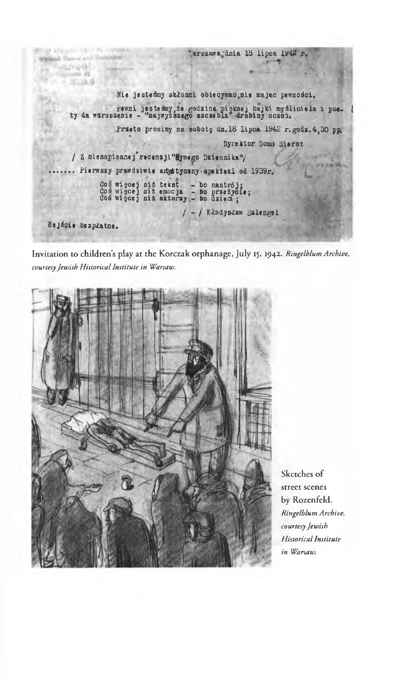or and some with the mades Tarszawa dnia 15 lipca 1942 *r.* Washin Sprawn in Dendson *V '* X ' SCHOOL  $-14440$   $R$  $-7.39$ Nie jesteśmy skłonni obiecywac, nie mając pewności. rewni jestesmy,2e godzina pieknej bajki myśliciela i pos- {<br>ty da waruszenie - "najwyższego szczebla" drabiny uczni. Przeto prosimy na sobotę dn.18 lipoa 1942 r.godz.4,30 pp. Dyrektor Domn Sierot / Z nienapisanej recenzji"gywego Dziennika"/ fi«niszy prawdziwi\* aityttycany-bpetctalci od 1939r. '| Cod więcej niż tekst Cos więcej niż emocja – bo przeżycie;<br>Coś więcej niż aktorzy – bo dzieci;  $/ - /$  Władysław Szlengel Rejście bezpłatne.

Invitation to children's play at the Korczak orphanage, July 15, 1942. *Ringelblum Archive, courtesy Jewish Historical Institute in Warsaw.*



Sketches of street scenes by Rozenfeld. *Ringelblum Archive, courtesy Jewish Historical Institute in Warsaw.*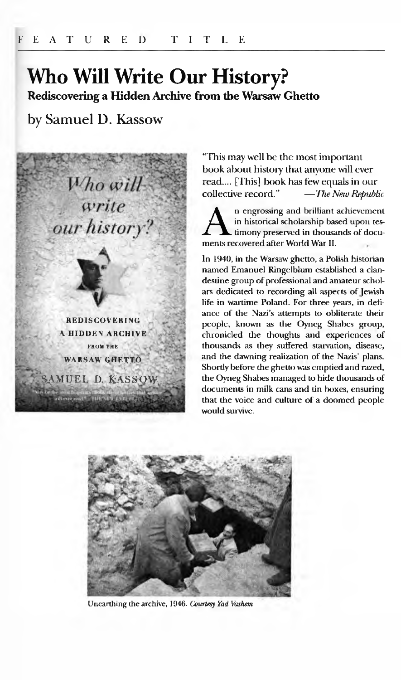# **Who Will Write Our History? Rediscovering a Hidden Archive from the Warsaw Ghetto**

by Samuel D. Kassow



"This may well be the most important book about history that anyone will ever read.... [This] book has few equals in our collective record." *— The New Republic*

ments recovered after World War II.<br>
ments recovered after World War II.<br>
Manny preserved in thous: n engrossing and brilliant achievement in historical scholarship based upon testimony preserved in thousands of docu-

In 1940, in the Warsaw ghetto, a Polish historian named Emanuel Ringelblum established a clandestine group of professional and amateur scholars dedicated to recording all aspects of Jewish life in wartime Poland. For three years, in defiance of the Nazi's attempts to obliterate their people, known as the Oyneg Shabes group, chronicled the thoughts and experiences of thousands as they suffered starvation, disease, and the dawning realization of the Nazis' plans. Shortly before the ghetto was emptied and razed, the Oyneg Shabes managed to hide thousands of documents in milk cans and tin boxes, ensuring that the voice and culture of a doomed people would survive.



Unearthing the archive, 1946. *Courtesy Yad Vashem*